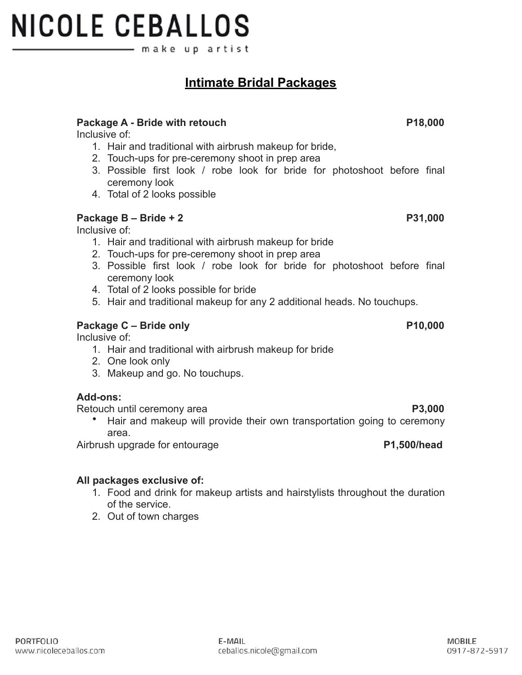#### **PORTFOLIO** www.nicoleceballos.com

# **NICOLE CEBALLOS** make up artist

### **Intimate Bridal Packages**

#### Package A - Bride with retouch **P18,000**

Inclusive of:

- 1. Hair and traditional with airbrush makeup for bride,
- 2. Touch-ups for pre-ceremony shoot in prep area
- 3. Possible first look / robe look for bride for photoshoot before final ceremony look
- 4. Total of 2 looks possible

#### **Package B – Bride + 2** P31,000

Inclusive of:

- 1. Hair and traditional with airbrush makeup for bride
- 2. Touch-ups for pre-ceremony shoot in prep area
- 3. Possible first look / robe look for bride for photoshoot before final ceremony look
- 4. Total of 2 looks possible for bride
- 5. Hair and traditional makeup for any 2 additional heads. No touchups.

#### Package C – Bride only **P10,000**

Inclusive of:

- 1. Hair and traditional with airbrush makeup for bride
- 2. One look only
- 3. Makeup and go. No touchups.

#### **Add-ons:**

Retouch until ceremony area **P3,000**

• Hair and makeup will provide their own transportation going to ceremony area.

Airbrush upgrade for entourage **P1,500/head**

#### **All packages exclusive of:**

1. Food and drink for makeup artists and hairstylists throughout the duration of the service.

ceballos.nicole@gmail.com

E-MAIL

2. Out of town charges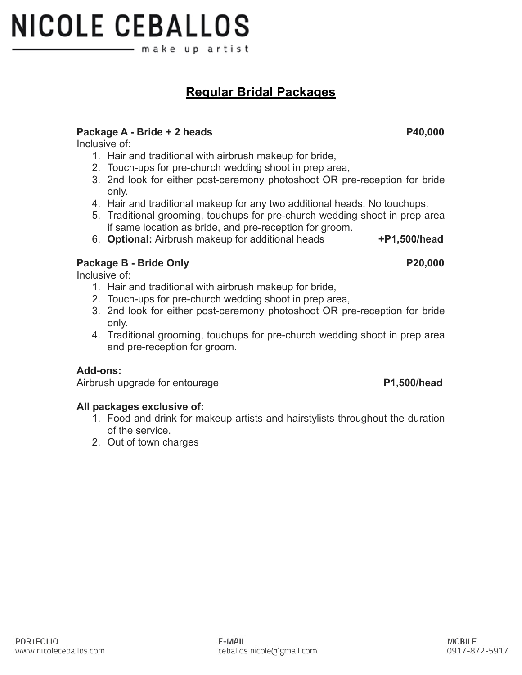#### **PORTFOLIO** www.nicoleceballos.com

### **NICOLE CEBALLOS** make upartist

**Regular Bridal Packages**

#### Package A - Bride + 2 heads **P40,000**

Inclusive of:

- 1. Hair and traditional with airbrush makeup for bride,
- 2. Touch-ups for pre-church wedding shoot in prep area,
- 3. 2nd look for either post-ceremony photoshoot OR pre-reception for bride only.
- 4. Hair and traditional makeup for any two additional heads. No touchups.
- 5. Traditional grooming, touchups for pre-church wedding shoot in prep area if same location as bride, and pre-reception for groom.
- 6. **Optional:** Airbrush makeup for additional heads **+P1,500/head**

#### **Package B - Bride Only P20,000**

Inclusive of:

- 1. Hair and traditional with airbrush makeup for bride,
- 2. Touch-ups for pre-church wedding shoot in prep area,
- 3. 2nd look for either post-ceremony photoshoot OR pre-reception for bride only.
- 4. Traditional grooming, touchups for pre-church wedding shoot in prep area and pre-reception for groom.

#### **Add-ons:**

Airbrush upgrade for entourage **P1,500/head**

#### **All packages exclusive of:**

- 1. Food and drink for makeup artists and hairstylists throughout the duration of the service.
- 2. Out of town charges

E-MAIL ceballos.nicole@gmail.com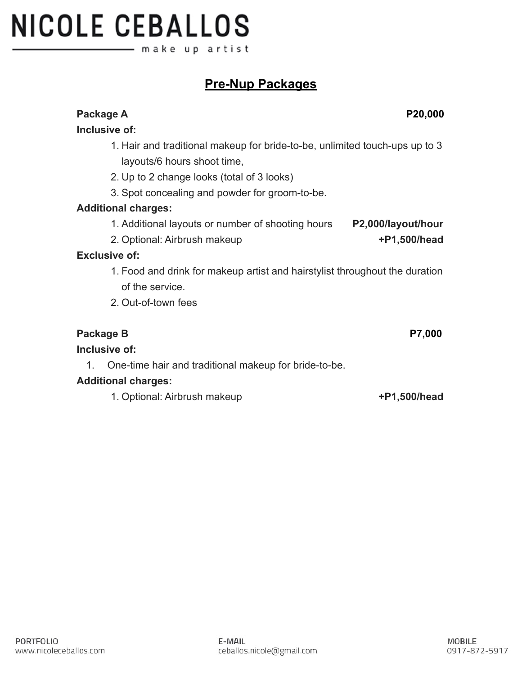**Inclusive of:**

1. Additional layouts or number of shooting hours **P2,000/layout/hour**

1. Hair and traditional makeup for bride-to-be, unlimited touch-ups up to 3

1. Food and drink for makeup artist and hairstylist throughout the duration of the service.

1. Optional: Airbrush makeup **+P1,500/head**

# **NICOLE CEBALLOS** – make upartist

### **Pre-Nup Packages**

## layouts/6 hours shoot time, 2. Up to 2 change looks (total of 3 looks) 3. Spot concealing and powder for groom-to-be. **Additional charges:** 2. Optional: Airbrush makeup **+P1,500/head Exclusive of:** 2. Out-of-town fees Package B P7,000 **Inclusive of:** 1. One-time hair and traditional makeup for bride-to-be. **Additional charges:**

Package A Package A P20,000